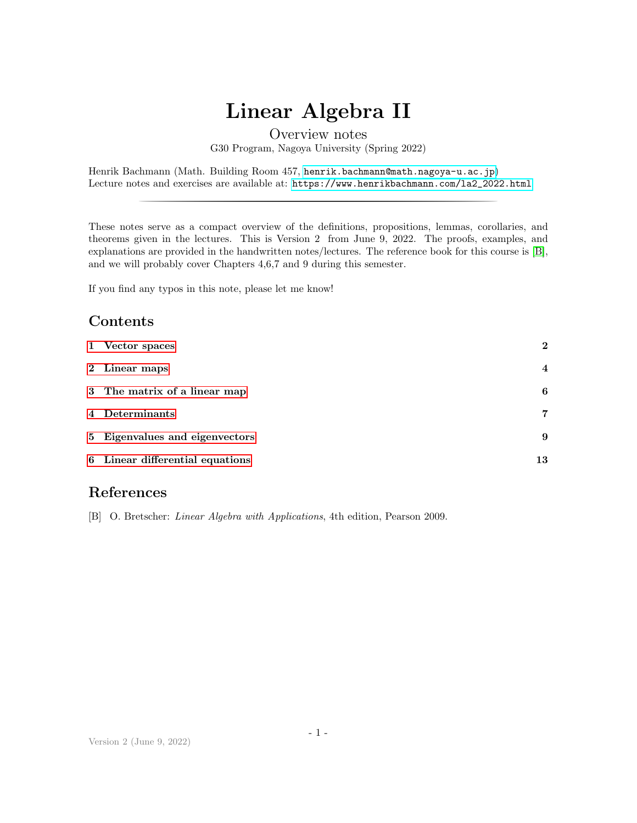# Linear Algebra II

## Overview notes G30 Program, Nagoya University (Spring 2022)

# Contents

|                         | Linear Algebra II                                                                                                                                                                                                                                                                                                                                                                             |                  |
|-------------------------|-----------------------------------------------------------------------------------------------------------------------------------------------------------------------------------------------------------------------------------------------------------------------------------------------------------------------------------------------------------------------------------------------|------------------|
|                         | Overview notes<br>G30 Program, Nagoya University (Spring 2022)                                                                                                                                                                                                                                                                                                                                |                  |
|                         | Henrik Bachmann (Math. Building Room 457, henrik.bachmann@math.nagoya-u.ac.jp)<br>Lecture notes and exercises are available at: https://www.henrikbachmann.com/1a2_2022.html                                                                                                                                                                                                                  |                  |
|                         | These notes serve as a compact overview of the definitions, propositions, lemmas, corollaries, and<br>theorems given in the lectures. This is Version 2 from June 9, 2022. The proofs, examples, and<br>explanations are provided in the handwritten notes/lectures. The reference book for this course is $[B]$ ,<br>and we will probably cover Chapters $4,6,7$ and 9 during this semester. |                  |
|                         | If you find any typos in this note, please let me know!                                                                                                                                                                                                                                                                                                                                       |                  |
|                         | Contents                                                                                                                                                                                                                                                                                                                                                                                      |                  |
| 1                       | Vector spaces                                                                                                                                                                                                                                                                                                                                                                                 | $\boldsymbol{2}$ |
| $\bf{2}$                | Linear maps                                                                                                                                                                                                                                                                                                                                                                                   | 4                |
| 3                       | The matrix of a linear map                                                                                                                                                                                                                                                                                                                                                                    | 6                |
| $\overline{\mathbf{4}}$ | Determinants                                                                                                                                                                                                                                                                                                                                                                                  | 7                |
| 5                       | Eigenvalues and eigenvectors                                                                                                                                                                                                                                                                                                                                                                  | 9                |
| 6                       | Linear differential equations                                                                                                                                                                                                                                                                                                                                                                 | 13               |

# References

<span id="page-0-0"></span>[B] O. Bretscher: Linear Algebra with Applications, 4th edition, Pearson 2009.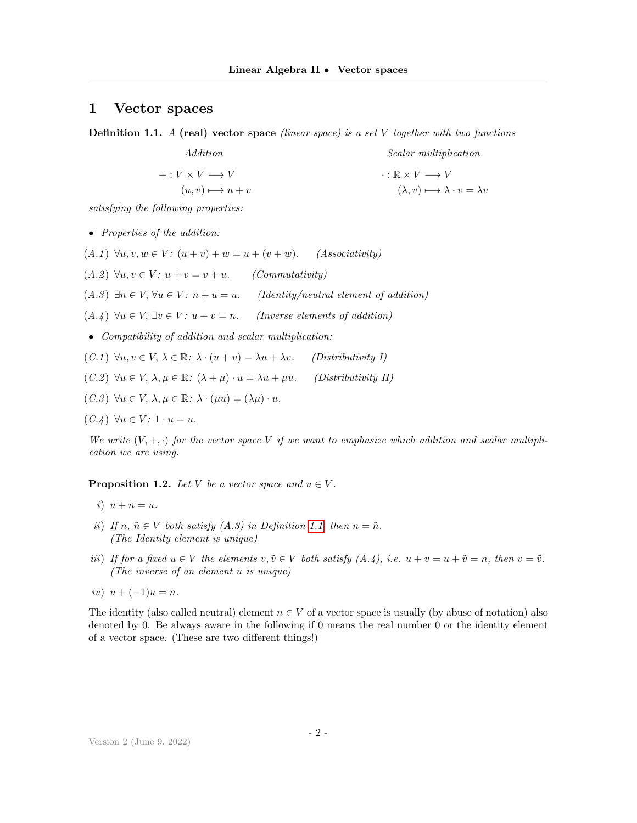#### <span id="page-1-0"></span>1 Vector spaces

<span id="page-1-1"></span>**Definition 1.1.** A (real) vector space (linear space) is a set  $V$  together with two functions

Addition  $+: V \times V \longrightarrow V$  $(u, v) \longmapsto u + v$ Scalar multiplication  $\cdot : \mathbb{R} \times V \longrightarrow V$  $(\lambda, v) \longmapsto \lambda \cdot v = \lambda v$ 

satisfying the following properties:

• Properties of the addition:

 $(A.1) \ \forall u, v, w \in V: (u+v) + w = u + (v+w).$  (Associativity)

 $(A.2) \forall u, v \in V: u + v = v + u.$  (Commutativity)

(A.3)  $\exists n \in V, \forall u \in V: n + u = u.$  (Identity/neutral element of addition)

(A.4)  $\forall u \in V$ ,  $\exists v \in V$ :  $u + v = n$ . (Inverse elements of addition)

• Compatibility of addition and scalar multiplication:

 $(C.1) \ \forall u, v \in V, \, \lambda \in \mathbb{R}: \, \lambda \cdot (u+v) = \lambda u + \lambda v.$  (Distributivity I)

(C.2)  $\forall u \in V, \, \lambda, \mu \in \mathbb{R}: (\lambda + \mu) \cdot u = \lambda u + \mu u.$  (Distributivity II)

 $(C.3) \ \forall u \in V, \ \lambda, \mu \in \mathbb{R}: \ \lambda \cdot (\mu u) = (\lambda \mu) \cdot u.$ 

 $(C.\mathcal{L}) \ \forall u \in V: 1 \cdot u = u.$ 

We write  $(V, +, \cdot)$  for the vector space V if we want to emphasize which addition and scalar multiplication we are using.

**Proposition 1.2.** Let V be a vector space and  $u \in V$ .

- i)  $u + n = u$ .
- ii) If n,  $\tilde{n} \in V$  both satisfy  $(A.3)$  in Definition [1.1,](#page-1-1) then  $n = \tilde{n}$ . (The Identity element is unique)
- iii) If for a fixed  $u \in V$  the elements  $v, \tilde{v} \in V$  both satisfy  $(A.\dot{A}), i.e. u + v = u + \tilde{v} = n$ , then  $v = \tilde{v}.$ (The inverse of an element u is unique)
- iv)  $u + (-1)u = n$ .

The identity (also called neutral) element  $n \in V$  of a vector space is usually (by abuse of notation) also denoted by 0. Be always aware in the following if 0 means the real number 0 or the identity element of a vector space. (These are two different things!)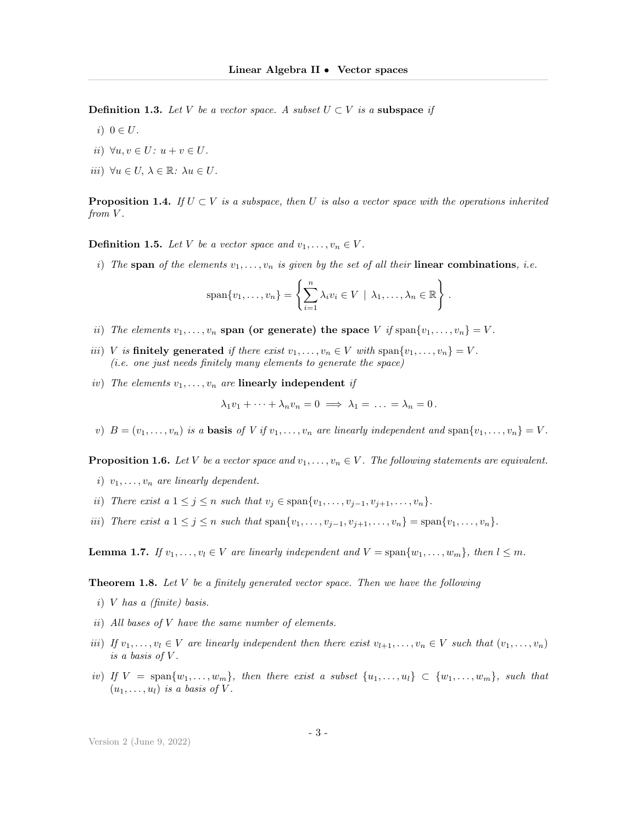**Definition 1.3.** Let V be a vector space. A subset  $U \subset V$  is a subspace if

- i)  $0 \in U$ .
- ii)  $\forall u, v \in U: u + v \in U$ .
- iii)  $\forall u \in U, \, \lambda \in \mathbb{R}: \, \lambda u \in U.$

**Proposition 1.4.** If  $U \subset V$  is a subspace, then U is also a vector space with the operations inherited from V.

**Definition 1.5.** Let V be a vector space and  $v_1, \ldots, v_n \in V$ .

i) The span of the elements  $v_1, \ldots, v_n$  is given by the set of all their linear combinations, i.e.

$$
\mathrm{span}\{v_1,\ldots,v_n\} = \left\{\sum_{i=1}^n \lambda_i v_i \in V \mid \lambda_1,\ldots,\lambda_n \in \mathbb{R}\right\}.
$$

- ii) The elements  $v_1, \ldots, v_n$  span (or generate) the space V if span $\{v_1, \ldots, v_n\} = V$ .
- iii) V is finitely generated if there exist  $v_1, \ldots, v_n \in V$  with span $\{v_1, \ldots, v_n\} = V$ . (i.e. one just needs finitely many elements to generate the space)
- iv) The elements  $v_1, \ldots, v_n$  are linearly independent if

$$
\lambda_1 v_1 + \dots + \lambda_n v_n = 0 \implies \lambda_1 = \dots = \lambda_n = 0.
$$

v)  $B = (v_1, \ldots, v_n)$  is a **basis** of V if  $v_1, \ldots, v_n$  are linearly independent and  $\text{span}\{v_1, \ldots, v_n\} = V$ .

**Proposition 1.6.** Let V be a vector space and  $v_1, \ldots, v_n \in V$ . The following statements are equivalent.

- i)  $v_1, \ldots, v_n$  are linearly dependent.
- ii) There exist a  $1 \leq j \leq n$  such that  $v_j \in \text{span}\{v_1, \ldots, v_{j-1}, v_{j+1}, \ldots, v_n\}.$
- iii) There exist a  $1 \leq j \leq n$  such that  $\text{span}\{v_1, \ldots, v_{j-1}, v_{j+1}, \ldots, v_n\} = \text{span}\{v_1, \ldots, v_n\}.$

**Lemma 1.7.** If  $v_1, \ldots, v_l \in V$  are linearly independent and  $V = \text{span}\{w_1, \ldots, w_m\}$ , then  $l \leq m$ .

**Theorem 1.8.** Let  $V$  be a finitely generated vector space. Then we have the following

- i) V has a (finite) basis.
- ii) All bases of V have the same number of elements.
- iii) If  $v_1, \ldots, v_l \in V$  are linearly independent then there exist  $v_{l+1}, \ldots, v_n \in V$  such that  $(v_1, \ldots, v_n)$ is a basis of  $V$ .
- iv) If  $V = \text{span}\{w_1, \ldots, w_m\}$ , then there exist a subset  $\{u_1, \ldots, u_l\} \subset \{w_1, \ldots, w_m\}$ , such that  $(u_1, \ldots, u_l)$  is a basis of V.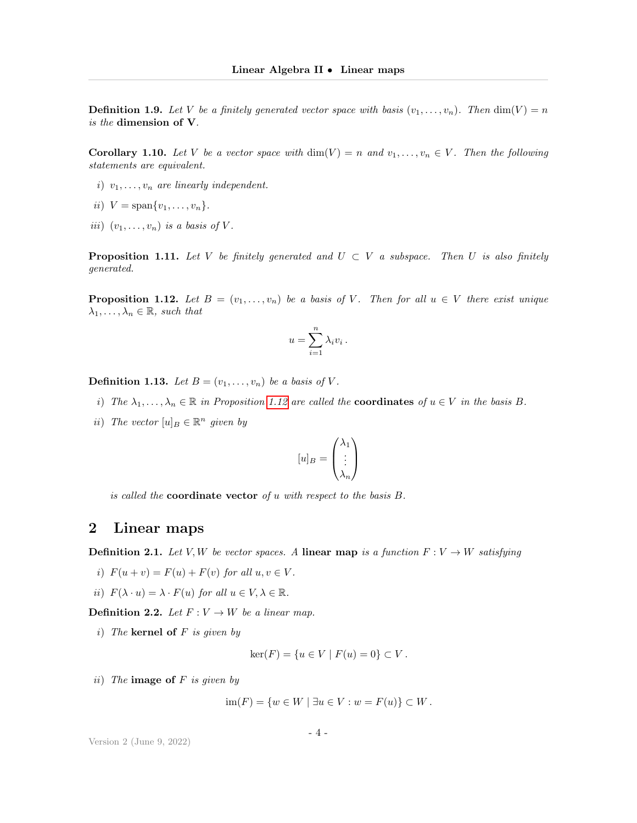**Definition 1.9.** Let V be a finitely generated vector space with basis  $(v_1, \ldots, v_n)$ . Then  $\dim(V) = n$ is the dimension of V.

**Corollary 1.10.** Let V be a vector space with  $\dim(V) = n$  and  $v_1, \ldots, v_n \in V$ . Then the following statements are equivalent.

- i)  $v_1, \ldots, v_n$  are linearly independent.
- ii)  $V = \text{span}\{v_1, \ldots, v_n\}.$
- iii)  $(v_1, \ldots, v_n)$  is a basis of V.

**Proposition 1.11.** Let V be finitely generated and  $U \subset V$  a subspace. Then U is also finitely generated.

<span id="page-3-1"></span>**Proposition 1.12.** Let  $B = (v_1, \ldots, v_n)$  be a basis of V. Then for all  $u \in V$  there exist unique  $\lambda_1, \ldots, \lambda_n \in \mathbb{R}$ , such that

$$
u = \sum_{i=1}^{n} \lambda_i v_i.
$$

**Definition 1.13.** Let  $B = (v_1, \ldots, v_n)$  be a basis of V.

- i) The  $\lambda_1, \ldots, \lambda_n \in \mathbb{R}$  in Proposition [1.12](#page-3-1) are called the **coordinates** of  $u \in V$  in the basis B.
- ii) The vector  $[u]_B \in \mathbb{R}^n$  given by

$$
[u]_B = \begin{pmatrix} \lambda_1 \\ \vdots \\ \lambda_n \end{pmatrix}
$$

is called the **coordinate vector** of  $u$  with respect to the basis  $B$ .

### <span id="page-3-0"></span>2 Linear maps

**Definition 2.1.** Let V, W be vector spaces. A linear map is a function  $F: V \to W$  satisfying

- i)  $F(u + v) = F(u) + F(v)$  for all  $u, v \in V$ .
- ii)  $F(\lambda \cdot u) = \lambda \cdot F(u)$  for all  $u \in V, \lambda \in \mathbb{R}$ .

**Definition 2.2.** Let  $F: V \to W$  be a linear map.

i) The kernel of  $F$  is given by

$$
ker(F) = \{ u \in V \mid F(u) = 0 \} \subset V.
$$

ii) The **image of**  $F$  is given by

 $\text{im}(F) = \{w \in W \mid \exists u \in V : w = F(u)\}$  ⊂ W.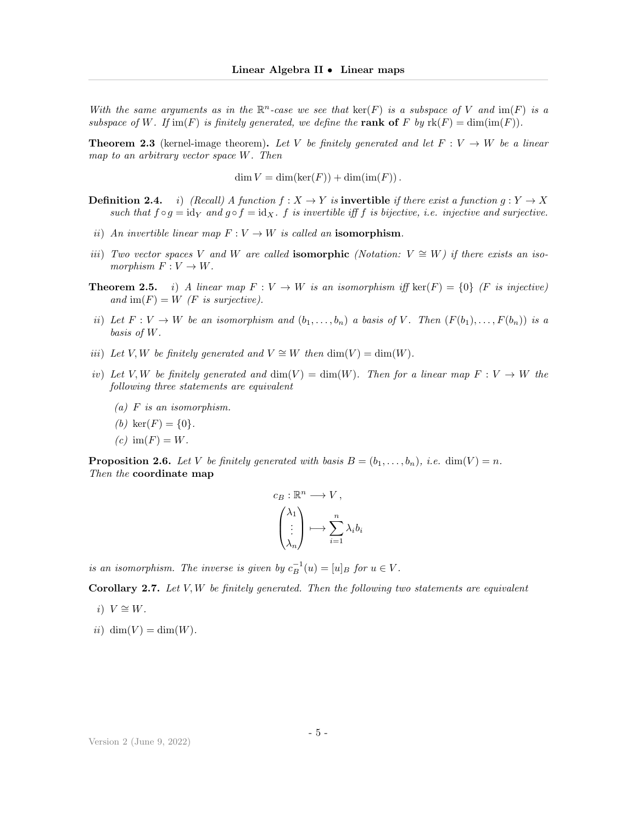With the same arguments as in the  $\mathbb{R}^n$ -case we see that  $\ker(F)$  is a subspace of V and  $\text{im}(F)$  is a subspace of W. If  $\text{im}(F)$  is finitely generated, we define the **rank of** F by  $\text{rk}(F) = \dim(\text{im}(F))$ .

**Theorem 2.3** (kernel-image theorem). Let V be finitely generated and let  $F: V \to W$  be a linear map to an arbitrary vector space W. Then

 $\dim V = \dim(\ker(F)) + \dim(\text{im}(F)).$ 

**Definition 2.4.** i) (Recall) A function  $f : X \to Y$  is **invertible** if there exist a function  $g : Y \to X$ such that  $f \circ g = id_Y$  and  $g \circ f = id_X$ . f is invertible iff f is bijective, i.e. injective and surjective.

- ii) An invertible linear map  $F: V \to W$  is called an isomorphism.
- iii) Two vector spaces V and W are called **isomorphic** (Notation:  $V \cong W$ ) if there exists an isomorphism  $F: V \to W$ .
- **Theorem 2.5.** i) A linear map  $F: V \to W$  is an isomorphism iff ker(F) = {0} (F is injective) and  $\text{im}(F) = W$  (F is surjective).
- ii) Let  $F: V \to W$  be an isomorphism and  $(b_1, \ldots, b_n)$  a basis of V. Then  $(F(b_1), \ldots, F(b_n))$  is a basis of W.
- iii) Let V, W be finitely generated and  $V \cong W$  then  $\dim(V) = \dim(W)$ .
- iv) Let V, W be finitely generated and  $\dim(V) = \dim(W)$ . Then for a linear map  $F: V \to W$  the following three statements are equivalent
	- $(a)$  F is an isomorphism.
	- (b) ker(F) = {0}.
	- $(c)$  im $(F) = W$ .

**Proposition 2.6.** Let V be finitely generated with basis  $B = (b_1, \ldots, b_n)$ , i.e. dim(V) = n. Then the coordinate map

$$
c_B: \mathbb{R}^n \longrightarrow V,
$$

$$
\begin{pmatrix} \lambda_1 \\ \vdots \\ \lambda_n \end{pmatrix} \longmapsto \sum_{i=1}^n \lambda_i b_i
$$

is an isomorphism. The inverse is given by  $c_B^{-1}(u) = [u]_B$  for  $u \in V$ .

**Corollary 2.7.** Let  $V, W$  be finitely generated. Then the following two statements are equivalent

- i)  $V \cong W$ .
- ii) dim(V) = dim(W).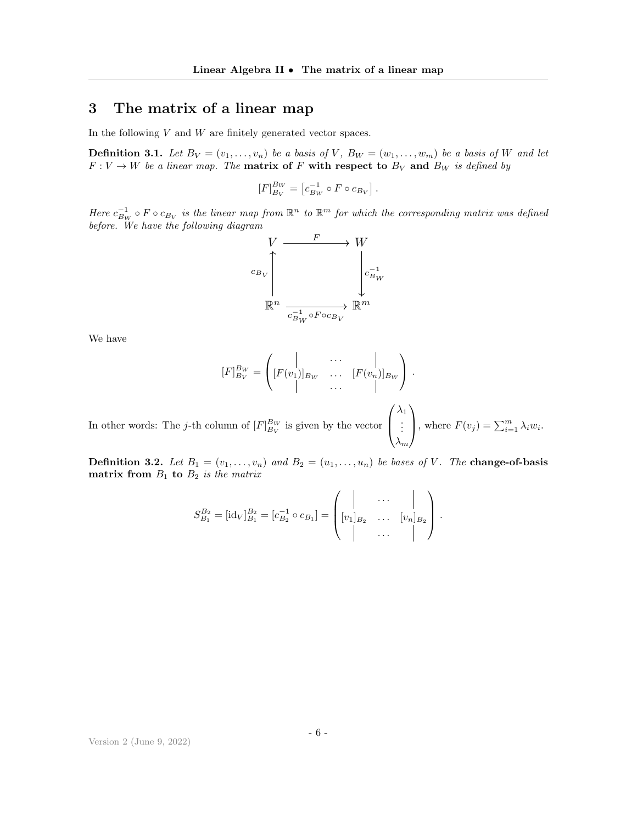## <span id="page-5-0"></span>3 The matrix of a linear map

In the following  $V$  and  $W$  are finitely generated vector spaces.

<span id="page-5-1"></span>**Definition 3.1.** Let  $B_V = (v_1, \ldots, v_n)$  be a basis of V,  $B_W = (w_1, \ldots, w_m)$  be a basis of W and let  $F: V \to W$  be a linear map. The **matrix of** F with respect to  $B_V$  and  $B_W$  is defined by

$$
[F]_{B_V}^{B_W} = [c_{B_W}^{-1} \circ F \circ c_{B_V}].
$$

Here  $c_{B_W}^{-1} \circ F \circ c_{B_V}$  is the linear map from  $\mathbb{R}^n$  to  $\mathbb{R}^m$  for which the corresponding matrix was defined before. We have the following diagram



We have

$$
[F]_{B_V}^{B_W} = \begin{pmatrix} | & \cdots & | \\ [F(v_1)]_{B_W} & \cdots & [F(v_n)]_{B_W} \\ | & \cdots & | \end{pmatrix}.
$$
  
In other words: The *j*-th column of  $[F]_{B_V}^{B_W}$  is given by the vector  $\begin{pmatrix} \lambda_1 \\ \vdots \\ \vdots \end{pmatrix}$ , where  $F(v_j) = \sum_{i=1}^m \lambda_i w_i$ .

 $\lambda_m$ **Definition 3.2.** Let  $B_1 = (v_1, \ldots, v_n)$  and  $B_2 = (u_1, \ldots, u_n)$  be bases of V. The **change-of-basis** matrix from  $B_1$  to  $B_2$  is the matrix

$$
S_{B_1}^{B_2} = [\mathrm{id}_V]_{B_1}^{B_2} = [c_{B_2}^{-1} \circ c_{B_1}] = \begin{pmatrix} | & \cdots & | \\ [v_1]_{B_2} & \cdots & [v_n]_{B_2} \\ | & \cdots & | \end{pmatrix}.
$$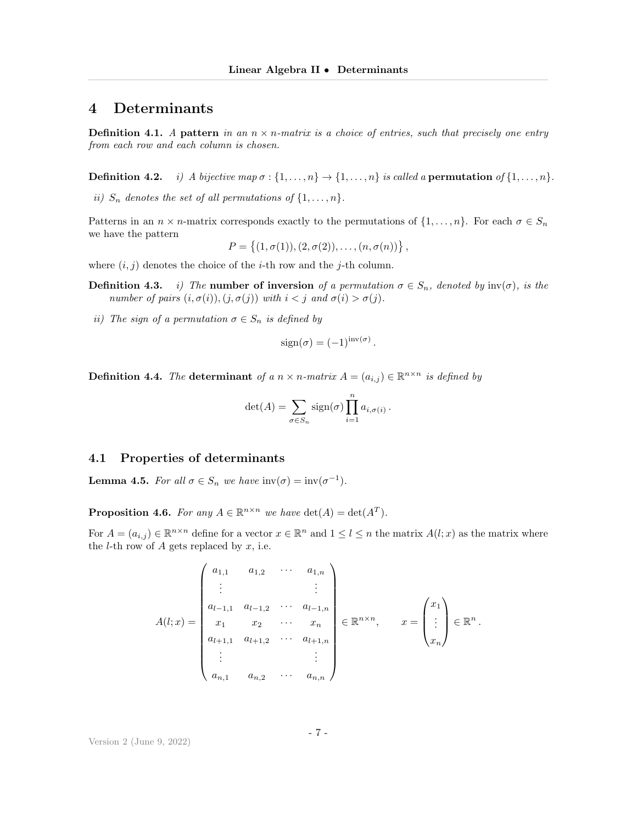#### <span id="page-6-0"></span>4 Determinants

**Definition 4.1.** A pattern in an  $n \times n$ -matrix is a choice of entries, such that precisely one entry from each row and each column is chosen.

**Definition 4.2.** i) A bijective map  $\sigma : \{1, \ldots, n\} \rightarrow \{1, \ldots, n\}$  is called a **permutation** of  $\{1, \ldots, n\}$ .

ii)  $S_n$  denotes the set of all permutations of  $\{1, \ldots, n\}$ .

Patterns in an  $n \times n$ -matrix corresponds exactly to the permutations of  $\{1, \ldots, n\}$ . For each  $\sigma \in S_n$ we have the pattern

$$
P = \{(1, \sigma(1)), (2, \sigma(2)), \ldots, (n, \sigma(n))\},\
$$

where  $(i, j)$  denotes the choice of the *i*-th row and the *j*-th column.

- **Definition 4.3.** i) The **number of inversion** of a permutation  $\sigma \in S_n$ , denoted by  $\text{inv}(\sigma)$ , is the number of pairs  $(i, \sigma(i)), (j, \sigma(j))$  with  $i < j$  and  $\sigma(i) > \sigma(j)$ .
- ii) The sign of a permutation  $\sigma \in S_n$  is defined by

$$
sign(\sigma) = (-1)^{inv(\sigma)}
$$

.

.

**Definition 4.4.** The determinant of a  $n \times n$ -matrix  $A = (a_{i,j}) \in \mathbb{R}^{n \times n}$  is defined by

$$
\det(A) = \sum_{\sigma \in S_n} sign(\sigma) \prod_{i=1}^n a_{i,\sigma(i)}.
$$

#### 4.1 Properties of determinants

**Lemma 4.5.** For all  $\sigma \in S_n$  we have  $\text{inv}(\sigma) = \text{inv}(\sigma^{-1})$ .

**Proposition 4.6.** For any  $A \in \mathbb{R}^{n \times n}$  we have  $\det(A) = \det(A^T)$ .

For  $A = (a_{i,j}) \in \mathbb{R}^{n \times n}$  define for a vector  $x \in \mathbb{R}^n$  and  $1 \leq l \leq n$  the matrix  $A(l; x)$  as the matrix where the *l*-th row of A gets replaced by  $x$ , i.e.

$$
A(l;x) = \begin{pmatrix} a_{1,1} & a_{1,2} & \cdots & a_{1,n} \\ \vdots & & \vdots & \\ a_{l-1,1} & a_{l-1,2} & \cdots & a_{l-1,n} \\ x_1 & x_2 & \cdots & x_n \\ a_{l+1,1} & a_{l+1,2} & \cdots & a_{l+1,n} \\ \vdots & & \vdots & \\ a_{n,1} & a_{n,2} & \cdots & a_{n,n} \end{pmatrix} \in \mathbb{R}^{n \times n}, \qquad x = \begin{pmatrix} x_1 \\ \vdots \\ x_n \end{pmatrix} \in \mathbb{R}^n
$$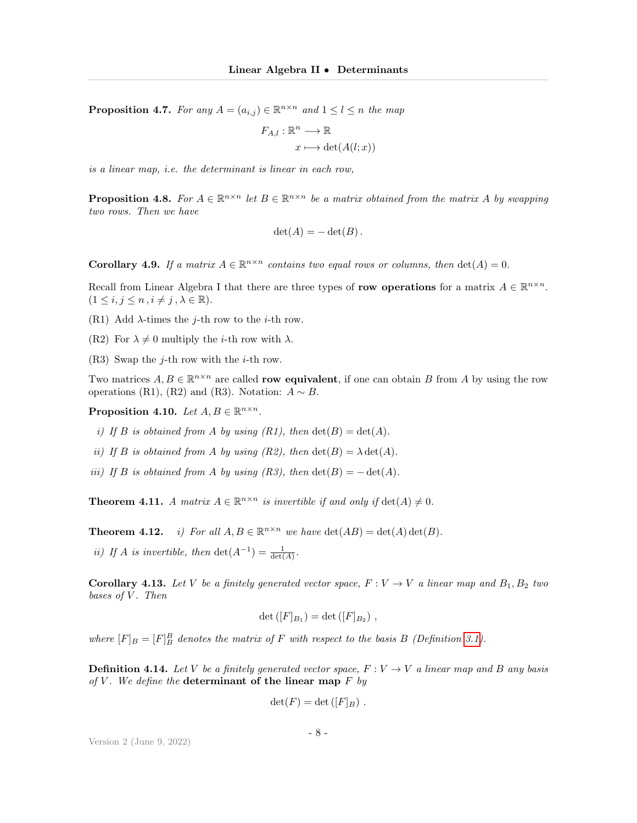**Proposition 4.7.** For any  $A = (a_{i,j}) \in \mathbb{R}^{n \times n}$  and  $1 \leq l \leq n$  the map

$$
F_{A,l} : \mathbb{R}^n \longrightarrow \mathbb{R}
$$

$$
x \longmapsto \det(A(l;x))
$$

is a linear map, i.e. the determinant is linear in each row,

**Proposition 4.8.** For  $A \in \mathbb{R}^{n \times n}$  let  $B \in \mathbb{R}^{n \times n}$  be a matrix obtained from the matrix A by swapping two rows. Then we have

$$
\det(A) = -\det(B).
$$

**Corollary 4.9.** If a matrix  $A \in \mathbb{R}^{n \times n}$  contains two equal rows or columns, then  $\det(A) = 0$ .

Recall from Linear Algebra I that there are three types of row operations for a matrix  $A \in \mathbb{R}^{n \times n}$ .  $(1 \leq i, j \leq n, i \neq j, \lambda \in \mathbb{R}).$ 

- (R1) Add  $\lambda$ -times the *j*-th row to the *i*-th row.
- (R2) For  $\lambda \neq 0$  multiply the *i*-th row with  $\lambda$ .
- (R3) Swap the j-th row with the *i*-th row.

Two matrices  $A, B \in \mathbb{R}^{n \times n}$  are called **row equivalent**, if one can obtain B from A by using the row operations (R1), (R2) and (R3). Notation:  $A \sim B$ .

Proposition 4.10. Let  $A, B \in \mathbb{R}^{n \times n}$ .

- i) If B is obtained from A by using  $(R1)$ , then  $\det(B) = \det(A)$ .
- ii) If B is obtained from A by using  $(R2)$ , then  $\det(B) = \lambda \det(A)$ .
- iii) If B is obtained from A by using  $(R3)$ , then  $\det(B) = -\det(A)$ .

**Theorem 4.11.** A matrix  $A \in \mathbb{R}^{n \times n}$  is invertible if and only if  $\det(A) \neq 0$ .

**Theorem 4.12.** *i)* For all  $A, B \in \mathbb{R}^{n \times n}$  we have  $\det(AB) = \det(A) \det(B)$ .

ii) If A is invertible, then  $\det(A^{-1}) = \frac{1}{\det(A)}$ .

**Corollary 4.13.** Let V be a finitely generated vector space,  $F: V \to V$  a linear map and  $B_1, B_2$  two bases of  $V$ . Then

$$
\det ([F]_{B_1}) = \det ([F]_{B_2}),
$$

where  $[F]_B = [F]_B^B$  denotes the matrix of F with respect to the basis B (Definition [3.1\)](#page-5-1).

**Definition 4.14.** Let V be a finitely generated vector space,  $F: V \to V$  a linear map and B any basis of V. We define the determinant of the linear map  $F$  by

$$
\det(F) = \det([F]_B) .
$$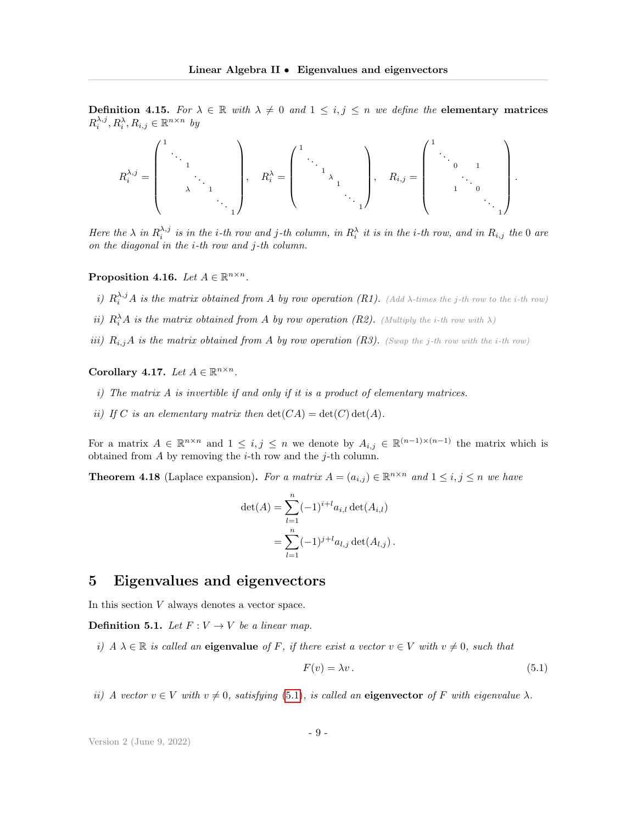Definition 4.15. For  $\lambda \in \mathbb{R}$  with  $\lambda \neq 0$  and  $1 \leq i, j \leq n$  we define the elementary matrices  $R_i^{\lambda,j}, R_i^{\lambda}, R_{i,j} \in \mathbb{R}^{n \times n}$  by

$$
R_i^{\lambda,j}=\left(\begin{array}{ccccccccc}1&&&&&\\&\ddots&&&&\\&&\ddots&&&\\&&&\ddots&&\\&&&&\ddots&\\&&&&&\ddots&\\&&&&&\ddots&\\&&&&&&\ddots&\\&&&&&&\ddots&\\&&&&&&\ddots&\\&&&&&&&\ddots&\\&&&&&&&\ddots&\\&&&&&&&&\ddots&\\&&&&&&&&\ddots&\\&&&&&&&&\ddots&\\&&&&&&&&\ddots&\\&&&&&&&&\ddots&\\&&&&&&&&&&\ddots&\\&&&&&&&&&&\ddots&\\&&&&&&&&&&\ddots&\\&&&&&&&&&&\ddots&\\&&&&&&&&&&\ddots&\\&&&&&&&&&&\ddots&\\&&&&&&&&&&\ddots&\\&&&&&&&&&&\ddots&\\&&&&&&&&&&\ddots&\\&&&&&&&&&&&&\ddots&\\&&&&&&&&&&&&\ddots&\\&&&&&&&&&&&&\ddots&\\&&&&&&&&&&&&\ddots&\\&&&&&&&&&&&&\ddots&\\&&&&&&&&&&&&\ddots&\\&&&&&&&&&&&&&&\ddots&\\&&&&&&&&&&&&&&\ddots&\\&&&&&&&&&&&&&&\ddots&\\&&&&&&&&&&&&&&\ddots&\\&&&&&&&&&&&&&&&&\ddots&\\&&&&&&&&&&&&&&&&\ddots&\\&&&&&&&&&&&&&&&&&&\ddots&\\&&&&&&&&&&&&&&&&&&&&\ddots&\\&&&&&&&&&&&&&&&&&&&&&&&&&&\\end{matrix}\right)
$$

Here the  $\lambda$  in  $R_i^{\lambda,j}$  is in the i-th row and j-th column, in  $R_i^{\lambda}$  it is in the i-th row, and in  $R_{i,j}$  the 0 are on the diagonal in the i-th row and j-th column.

Proposition 4.16. Let  $A \in \mathbb{R}^{n \times n}$ .

- i)  $R_i^{\lambda,j}A$  is the matrix obtained from A by row operation (R1). (Add  $\lambda$ -times the j-th row to the i-th row)
- ii)  $R_i^{\lambda}A$  is the matrix obtained from A by row operation (R2). (Multiply the i-th row with  $\lambda$ )
- iii)  $R_{i,j}A$  is the matrix obtained from A by row operation (R3). (Swap the j-th row with the i-th row)

Corollary 4.17. Let  $A \in \mathbb{R}^{n \times n}$ .

- i) The matrix A is invertible if and only if it is a product of elementary matrices.
- ii) If C is an elementary matrix then  $\det(CA) = \det(C) \det(A)$ .

For a matrix  $A \in \mathbb{R}^{n \times n}$  and  $1 \leq i, j \leq n$  we denote by  $A_{i,j} \in \mathbb{R}^{(n-1)\times (n-1)}$  the matrix which is obtained from  $A$  by removing the *i*-th row and the *j*-th column.

**Theorem 4.18** (Laplace expansion). For a matrix  $A = (a_{i,j}) \in \mathbb{R}^{n \times n}$  and  $1 \leq i, j \leq n$  we have

$$
\det(A) = \sum_{l=1}^{n} (-1)^{i+l} a_{i,l} \det(A_{i,l})
$$
  
= 
$$
\sum_{l=1}^{n} (-1)^{j+l} a_{l,j} \det(A_{l,j}).
$$

#### <span id="page-8-0"></span>5 Eigenvalues and eigenvectors

In this section  $V$  always denotes a vector space.

**Definition 5.1.** Let  $F: V \to V$  be a linear map.

i)  $A \lambda \in \mathbb{R}$  is called an eigenvalue of F, if there exist a vector  $v \in V$  with  $v \neq 0$ , such that

<span id="page-8-1"></span>
$$
F(v) = \lambda v. \tag{5.1}
$$

.

ii) A vector  $v \in V$  with  $v \neq 0$ , satisfying [\(5.1\)](#page-8-1), is called an eigenvector of F with eigenvalue  $\lambda$ .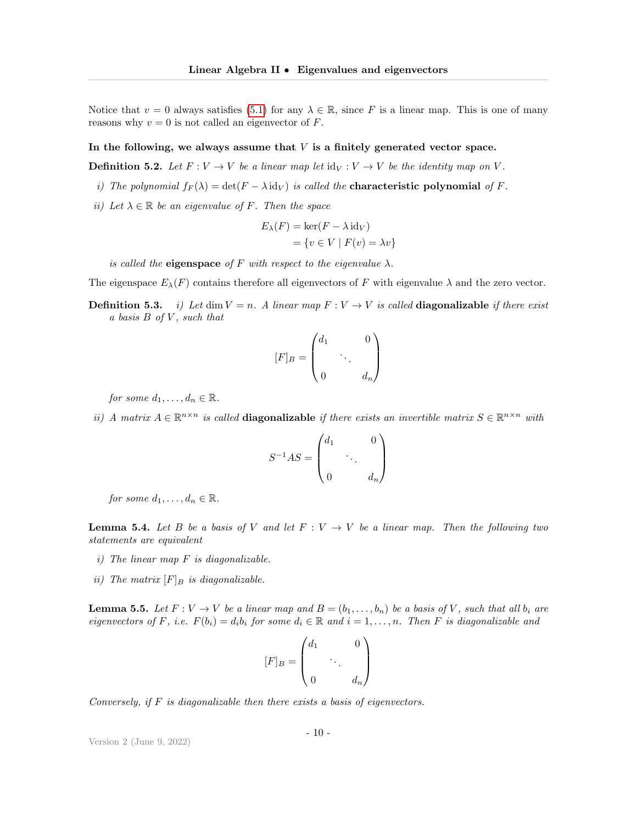Notice that  $v = 0$  always satisfies [\(5.1\)](#page-8-1) for any  $\lambda \in \mathbb{R}$ , since F is a linear map. This is one of many reasons why  $v = 0$  is not called an eigenvector of F.

#### In the following, we always assume that  $V$  is a finitely generated vector space.

**Definition 5.2.** Let  $F: V \to V$  be a linear map let  $\text{id}_V: V \to V$  be the identity map on V.

- i) The polynomial  $f_F(\lambda) = \det(F \lambda id_V)$  is called the **characteristic polynomial** of F.
- ii) Let  $\lambda \in \mathbb{R}$  be an eigenvalue of F. Then the space

$$
E_{\lambda}(F) = \ker(F - \lambda \operatorname{id}_V)
$$
  
= {v \in V | F(v) = \lambda v}

is called the **eigenspace** of F with respect to the eigenvalue  $\lambda$ .

The eigenspace  $E_{\lambda}(F)$  contains therefore all eigenvectors of F with eigenvalue  $\lambda$  and the zero vector.

**Definition 5.3.** i) Let dim  $V = n$ . A linear map  $F : V \to V$  is called **diagonalizable** if there exist a basis  $B$  of  $V$ , such that

$$
[F]_B = \begin{pmatrix} d_1 & & 0 \\ & \ddots & \\ 0 & & d_n \end{pmatrix}
$$

for some  $d_1, \ldots, d_n \in \mathbb{R}$ .

ii) A matrix  $A \in \mathbb{R}^{n \times n}$  is called **diagonalizable** if there exists an invertible matrix  $S \in \mathbb{R}^{n \times n}$  with

$$
S^{-1}AS = \begin{pmatrix} d_1 & & 0 \\ & \ddots & \\ 0 & & d_n \end{pmatrix}
$$

for some  $d_1, \ldots, d_n \in \mathbb{R}$ .

**Lemma 5.4.** Let B be a basis of V and let  $F: V \to V$  be a linear map. Then the following two statements are equivalent

- $i)$  The linear map F is diagonalizable.
- ii) The matrix  $[F]_B$  is diagonalizable.

**Lemma 5.5.** Let  $F: V \to V$  be a linear map and  $B = (b_1, \ldots, b_n)$  be a basis of V, such that all  $b_i$  are eigenvectors of F, i.e.  $F(b_i) = d_i b_i$  for some  $d_i \in \mathbb{R}$  and  $i = 1, \ldots, n$ . Then F is diagonalizable and

$$
[F]_B = \begin{pmatrix} d_1 & & 0 \\ & \ddots & \\ 0 & & d_n \end{pmatrix}
$$

Conversely, if  $F$  is diagonalizable then there exists a basis of eigenvectors.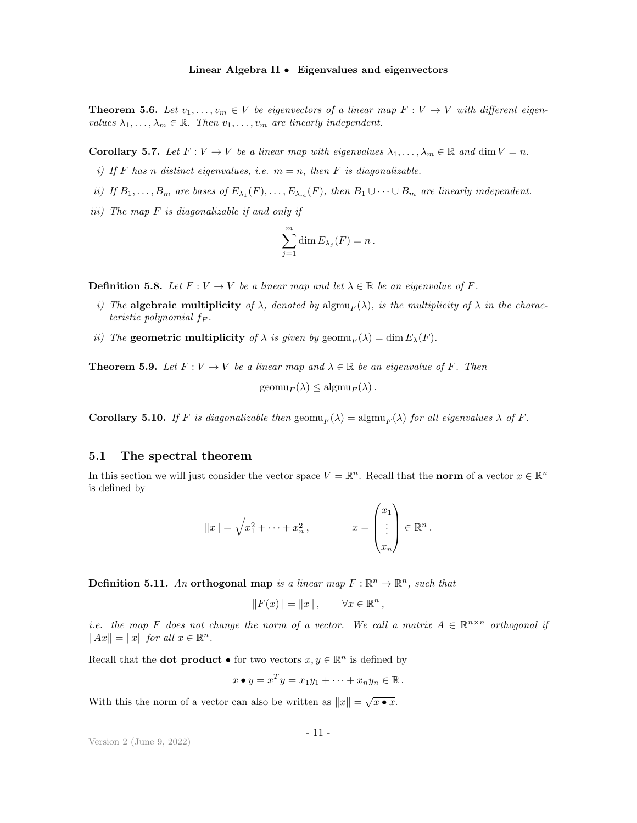**Theorem 5.6.** Let  $v_1, \ldots, v_m \in V$  be eigenvectors of a linear map  $F: V \to V$  with different eigenvalues  $\lambda_1, \ldots, \lambda_m \in \mathbb{R}$ . Then  $v_1, \ldots, v_m$  are linearly independent.

**Corollary 5.7.** Let  $F: V \to V$  be a linear map with eigenvalues  $\lambda_1, \ldots, \lambda_m \in \mathbb{R}$  and  $\dim V = n$ .

- i) If F has n distinct eigenvalues, i.e.  $m = n$ , then F is diagonalizable.
- ii) If  $B_1, \ldots, B_m$  are bases of  $E_{\lambda_1}(F), \ldots, E_{\lambda_m}(F)$ , then  $B_1 \cup \cdots \cup B_m$  are linearly independent.
- iii) The map  $F$  is diagonalizable if and only if

$$
\sum_{j=1}^m \dim E_{\lambda_j}(F) = n.
$$

**Definition 5.8.** Let  $F: V \to V$  be a linear map and let  $\lambda \in \mathbb{R}$  be an eigenvalue of F.

- i) The **algebraic multiplicity** of  $\lambda$ , denoted by  $\text{algmu}_F(\lambda)$ , is the multiplicity of  $\lambda$  in the characteristic polynomial  $f_F$ .
- ii) The geometric multiplicity of  $\lambda$  is given by geomu<sub>F</sub>( $\lambda$ ) = dim  $E_{\lambda}(F)$ .

**Theorem 5.9.** Let  $F: V \to V$  be a linear map and  $\lambda \in \mathbb{R}$  be an eigenvalue of F. Then

 $\mathrm{geom}_{F}(\lambda) \leq \mathrm{alg}_{\mathrm{mult}}(\lambda)$ .

**Corollary 5.10.** If F is diagonalizable then  $\text{geom}_{F}(\lambda) = \text{algmu}_{F}(\lambda)$  for all eigenvalues  $\lambda$  of F.

#### 5.1 The spectral theorem

In this section we will just consider the vector space  $V = \mathbb{R}^n$ . Recall that the **norm** of a vector  $x \in \mathbb{R}^n$ is defined by

$$
||x|| = \sqrt{x_1^2 + \dots + x_n^2}, \qquad x = \begin{pmatrix} x_1 \\ \vdots \\ x_n \end{pmatrix} \in \mathbb{R}^n.
$$

**Definition 5.11.** An orthogonal map is a linear map  $F : \mathbb{R}^n \to \mathbb{R}^n$ , such that

$$
||F(x)|| = ||x||, \qquad \forall x \in \mathbb{R}^n,
$$

*i.e.* the map F does not change the norm of a vector. We call a matrix  $A \in \mathbb{R}^{n \times n}$  orthogonal if  $||Ax|| = ||x||$  for all  $x \in \mathbb{R}^n$ .

Recall that the **dot product**  $\bullet$  for two vectors  $x, y \in \mathbb{R}^n$  is defined by

$$
x \bullet y = x^T y = x_1 y_1 + \cdots + x_n y_n \in \mathbb{R}.
$$

With this the norm of a vector can also be written as  $||x|| = \sqrt{x \cdot x}$ .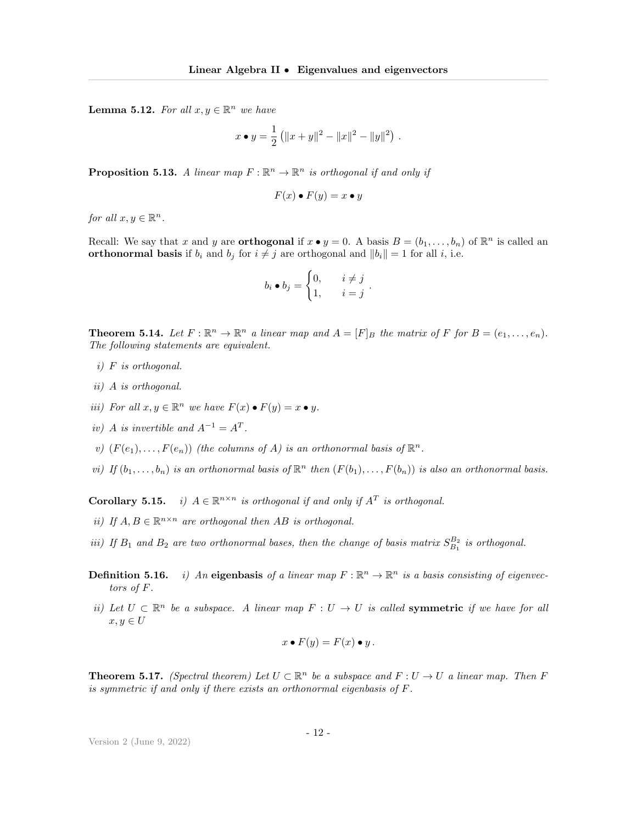**Lemma 5.12.** For all  $x, y \in \mathbb{R}^n$  we have

$$
x \bullet y = \frac{1}{2} (||x+y||^2 - ||x||^2 - ||y||^2) .
$$

**Proposition 5.13.** A linear map  $F : \mathbb{R}^n \to \mathbb{R}^n$  is orthogonal if and only if

$$
F(x) \bullet F(y) = x \bullet y
$$

for all  $x, y \in \mathbb{R}^n$ .

Recall: We say that x and y are **orthogonal** if  $x \bullet y = 0$ . A basis  $B = (b_1, \ldots, b_n)$  of  $\mathbb{R}^n$  is called an orthonormal basis if  $b_i$  and  $b_j$  for  $i \neq j$  are orthogonal and  $||b_i|| = 1$  for all i, i.e.

$$
b_i \bullet b_j = \begin{cases} 0, & i \neq j \\ 1, & i = j \end{cases}
$$

.

**Theorem 5.14.** Let  $F : \mathbb{R}^n \to \mathbb{R}^n$  a linear map and  $A = [F]_B$  the matrix of F for  $B = (e_1, \ldots, e_n)$ . The following statements are equivalent.

- i) F is orthogonal.
- ii) A is orthogonal.
- iii) For all  $x, y \in \mathbb{R}^n$  we have  $F(x) \bullet F(y) = x \bullet y$ .
- iv) A is invertible and  $A^{-1} = A^T$ .
- v)  $(F(e_1),...,F(e_n))$  (the columns of A) is an orthonormal basis of  $\mathbb{R}^n$ .
- vi) If  $(b_1, \ldots, b_n)$  is an orthonormal basis of  $\mathbb{R}^n$  then  $(F(b_1), \ldots, F(b_n))$  is also an orthonormal basis.

**Corollary 5.15.** i)  $A \in \mathbb{R}^{n \times n}$  is orthogonal if and only if  $A<sup>T</sup>$  is orthogonal.

- ii) If  $A, B \in \mathbb{R}^{n \times n}$  are orthogonal then AB is orthogonal.
- iii) If  $B_1$  and  $B_2$  are two orthonormal bases, then the change of basis matrix  $S_{B_1}^{B_2}$  is orthogonal.
- **Definition 5.16.** i) An eigenbasis of a linear map  $F : \mathbb{R}^n \to \mathbb{R}^n$  is a basis consisting of eigenvectiontors of F.
- ii) Let  $U \subset \mathbb{R}^n$  be a subspace. A linear map  $F : U \to U$  is called **symmetric** if we have for all  $x, y \in U$

$$
x \bullet F(y) = F(x) \bullet y.
$$

**Theorem 5.17.** (Spectral theorem) Let  $U \subset \mathbb{R}^n$  be a subspace and  $F: U \to U$  a linear map. Then F is symmetric if and only if there exists an orthonormal eigenbasis of F.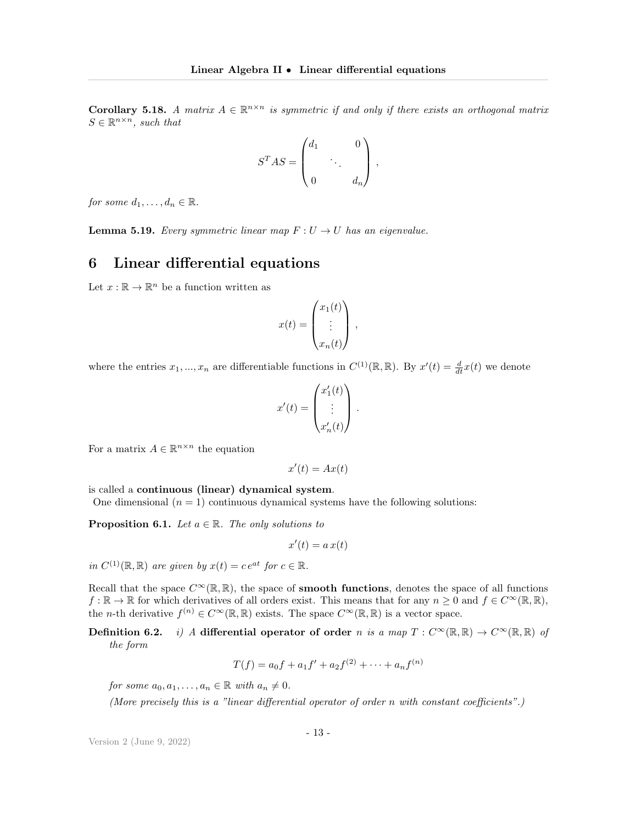**Corollary 5.18.** A matrix  $A \in \mathbb{R}^{n \times n}$  is symmetric if and only if there exists an orthogonal matrix  $S \in \mathbb{R}^{n \times n}$ , such that

$$
S^T A S = \begin{pmatrix} d_1 & & 0 \\ & \ddots & \\ 0 & & d_n \end{pmatrix},
$$

for some  $d_1, \ldots, d_n \in \mathbb{R}$ .

**Lemma 5.19.** Every symmetric linear map  $F: U \rightarrow U$  has an eigenvalue.

## <span id="page-12-0"></span>6 Linear differential equations

Let  $x : \mathbb{R} \to \mathbb{R}^n$  be a function written as

$$
x(t) = \begin{pmatrix} x_1(t) \\ \vdots \\ x_n(t) \end{pmatrix},
$$

where the entries  $x_1, ..., x_n$  are differentiable functions in  $C^{(1)}(\mathbb{R}, \mathbb{R})$ . By  $x'(t) = \frac{d}{dt}x(t)$  we denote

$$
x'(t) = \begin{pmatrix} x'_1(t) \\ \vdots \\ x'_n(t) \end{pmatrix}.
$$

For a matrix  $A \in \mathbb{R}^{n \times n}$  the equation

$$
x'(t) = Ax(t)
$$

is called a continuous (linear) dynamical system.

One dimensional  $(n = 1)$  continuous dynamical systems have the following solutions:

**Proposition 6.1.** Let  $a \in \mathbb{R}$ . The only solutions to

$$
x'(t)=a\,x(t)
$$

in  $C^{(1)}(\mathbb{R}, \mathbb{R})$  are given by  $x(t) = ce^{at}$  for  $c \in \mathbb{R}$ .

Recall that the space  $C^{\infty}(\mathbb{R}, \mathbb{R})$ , the space of smooth functions, denotes the space of all functions  $f : \mathbb{R} \to \mathbb{R}$  for which derivatives of all orders exist. This means that for any  $n \geq 0$  and  $f \in C^{\infty}(\mathbb{R}, \mathbb{R}),$ the *n*-th derivative  $f^{(n)} \in C^{\infty}(\mathbb{R}, \mathbb{R})$  exists. The space  $C^{\infty}(\mathbb{R}, \mathbb{R})$  is a vector space.

Definition 6.2. i) A differential operator of order n is a map  $T : C^{\infty}(\mathbb{R}, \mathbb{R}) \to C^{\infty}(\mathbb{R}, \mathbb{R})$  of the form

$$
T(f) = a_0 f + a_1 f' + a_2 f^{(2)} + \dots + a_n f^{(n)}
$$

for some  $a_0, a_1, \ldots, a_n \in \mathbb{R}$  with  $a_n \neq 0$ .

(More precisely this is a "linear differential operator of order n with constant coefficients".)